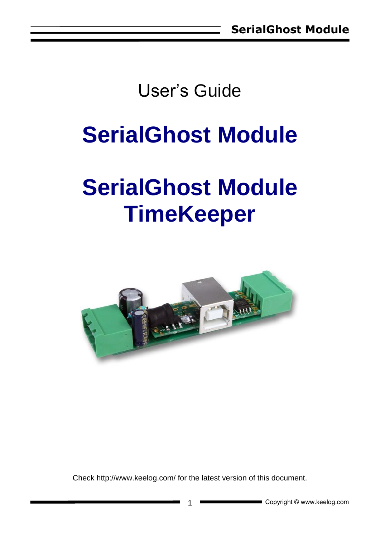## User's Guide

## **SerialGhost Module**

# **SerialGhost Module TimeKeeper**



Check<http://www.keelog.com/> for the latest version of this document.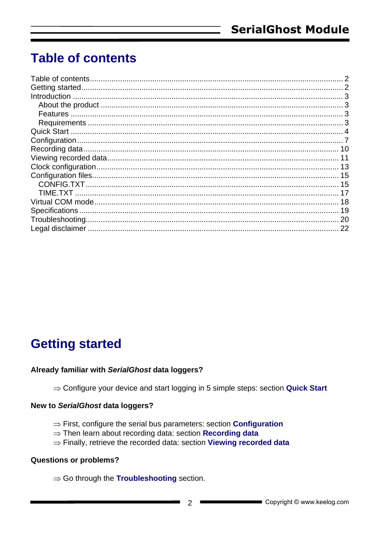### <span id="page-1-0"></span>**Table of contents**

### <span id="page-1-1"></span>**Getting started**

#### Already familiar with SerialGhost data loggers?

 $\Rightarrow$  Configure your device and start logging in 5 simple steps: section Quick Start

#### New to SerialGhost data loggers?

- $\Rightarrow$  First, configure the serial bus parameters: section **Configuration**
- $\Rightarrow$  Then learn about recording data: section Recording data
- $\Rightarrow$  Finally, retrieve the recorded data: section Viewing recorded data

#### **Questions or problems?**

 $\Rightarrow$  Go through the **Troubleshooting** section.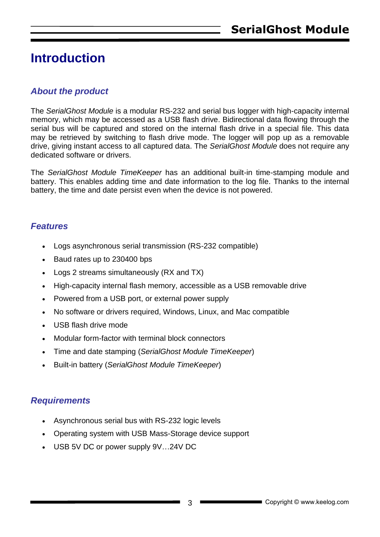### <span id="page-2-0"></span>**Introduction**

#### <span id="page-2-1"></span>*About the product*

The *SerialGhost Module* is a modular RS-232 and serial bus logger with high-capacity internal memory, which may be accessed as a USB flash drive. Bidirectional data flowing through the serial bus will be captured and stored on the internal flash drive in a special file. This data may be retrieved by switching to flash drive mode. The logger will pop up as a removable drive, giving instant access to all captured data. The *SerialGhost Module* does not require any dedicated software or drivers.

The *SerialGhost Module TimeKeeper* has an additional built-in time-stamping module and battery. This enables adding time and date information to the log file. Thanks to the internal battery, the time and date persist even when the device is not powered.

#### <span id="page-2-2"></span>*Features*

- Logs asynchronous serial transmission (RS-232 compatible)
- Baud rates up to 230400 bps
- Logs 2 streams simultaneously (RX and TX)
- High-capacity internal flash memory, accessible as a USB removable drive
- Powered from a USB port, or external power supply
- No software or drivers required, Windows, Linux, and Mac compatible
- USB flash drive mode
- Modular form-factor with terminal block connectors
- Time and date stamping (*SerialGhost Module TimeKeeper*)
- Built-in battery (*SerialGhost Module TimeKeeper*)

#### <span id="page-2-3"></span>*Requirements*

- Asynchronous serial bus with RS-232 logic levels
- Operating system with USB Mass-Storage device support
- USB 5V DC or power supply 9V…24V DC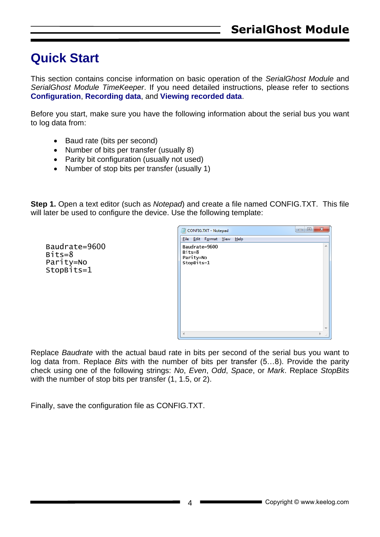### <span id="page-3-0"></span>**Quick Start**

Baudrate=9600

Bits=8 Parity=No StopBits=1

This section contains concise information on basic operation of the *SerialGhost Module* and *SerialGhost Module TimeKeeper*. If you need detailed instructions, please refer to sections **Configuration**, **Recording data**, and **Viewing recorded data**.

Before you start, make sure you have the following information about the serial bus you want to log data from:

- Baud rate (bits per second)
- Number of bits per transfer (usually 8)
- Parity bit configuration (usually not used)
- Number of stop bits per transfer (usually 1)

**Step 1.** Open a text editor (such as *Notepad*) and create a file named CONFIG.TXT. This file will later be used to configure the device. Use the following template:

> $\overline{a}$   $\overline{a}$   $\overline{a}$ CONFIG.TXT - Notepad File Edit Format View Help Baudrate=9600 Bits=8 Parity=No StopBits=1

Replace *Baudrate* with the actual baud rate in bits per second of the serial bus you want to log data from. Replace *Bits* with the number of bits per transfer (5…8). Provide the parity check using one of the following strings: *No*, *Even*, *Odd*, *Space*, or *Mark*. Replace *StopBits* with the number of stop bits per transfer  $(1, 1.5, 0.2)$ .

Finally, save the configuration file as CONFIG.TXT.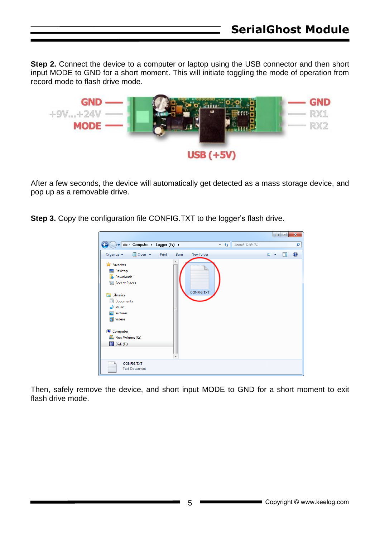**Step 2.** Connect the device to a computer or laptop using the USB connector and then short input MODE to GND for a short moment. This will initiate toggling the mode of operation from record mode to flash drive mode.



After a few seconds, the device will automatically get detected as a mass storage device, and pop up as a removable drive.

**Step 3.** Copy the configuration file CONFIG.TXT to the logger's flash drive.



Then, safely remove the device, and short input MODE to GND for a short moment to exit flash drive mode.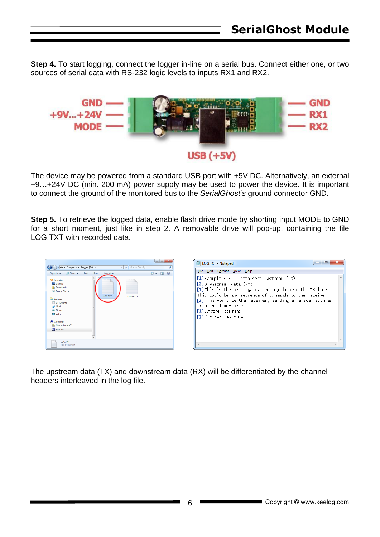**Step 4.** To start logging, connect the logger in-line on a serial bus. Connect either one, or two sources of serial data with RS-232 logic levels to inputs RX1 and RX2.



The device may be powered from a standard USB port with +5V DC. Alternatively, an external +9…+24V DC (min. 200 mA) power supply may be used to power the device. It is important to connect the ground of the monitored bus to the *SerialGhost's* ground connector GND.

**Step 5.** To retrieve the logged data, enable flash drive mode by shorting input MODE to GND for a short moment, just like in step 2. A removable drive will pop-up, containing the file LOG.TXT with recorded data.



The upstream data (TX) and downstream data (RX) will be differentiated by the channel headers interleaved in the log file.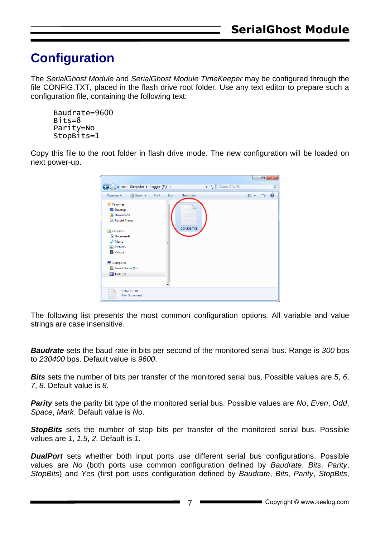### <span id="page-6-0"></span>**Configuration**

The *SerialGhost Module* and *SerialGhost Module TimeKeeper* may be configured through the file CONFIG.TXT, placed in the flash drive root folder. Use any text editor to prepare such a configuration file, containing the following text:

```
Baudrate=9600
Bits=8
Parity=No
StopBits=1
```
Copy this file to the root folder in flash drive mode. The new configuration will be loaded on next power-up.



The following list presents the most common configuration options. All variable and value strings are case insensitive.

*Baudrate* sets the baud rate in bits per second of the monitored serial bus. Range is *300* bps to *230400* bps. Default value is *9600*.

*Bits* sets the number of bits per transfer of the monitored serial bus. Possible values are *5*, *6*, *7*, *8*. Default value is *8*.

*Parity* sets the parity bit type of the monitored serial bus. Possible values are *No*, *Even*, *Odd*, *Space*, *Mark*. Default value is *No*.

**StopBits** sets the number of stop bits per transfer of the monitored serial bus. Possible values are *1*, *1.5*, *2*. Default is *1*.

**DualPort** sets whether both input ports use different serial bus configurations. Possible values are *No* (both ports use common configuration defined by *Baudrate*, *Bits*, *Parity*, *StopBits*) and *Yes* (first port uses configuration defined by *Baudrate*, *Bits*, *Parity*, *StopBits*,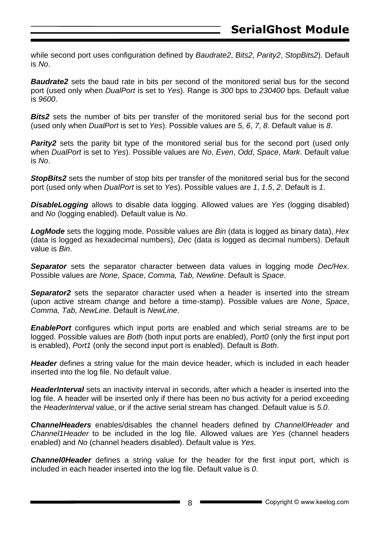while second port uses configuration defined by *Baudrate2*, *Bits2*, *Parity2*, *StopBits2*). Default is *No*.

**Baudrate2** sets the baud rate in bits per second of the monitored serial bus for the second port (used only when *DualPort* is set to *Yes*). Range is *300* bps to *230400* bps. Default value is *9600*.

**Bits2** sets the number of bits per transfer of the monitored serial bus for the second port (used only when *DualPort* is set to *Yes*). Possible values are *5*, *6*, *7*, *8*. Default value is *8*.

**Parity2** sets the parity bit type of the monitored serial bus for the second port (used only when *DualPort* is set to *Yes*). Possible values are *No*, *Even*, *Odd*, *Space*, *Mark*. Default value is *No*.

**StopBits2** sets the number of stop bits per transfer of the monitored serial bus for the second port (used only when *DualPort* is set to *Yes*). Possible values are *1*, *1.5*, *2*. Default is *1*.

*DisableLogging* allows to disable data logging. Allowed values are *Yes* (logging disabled) and *No* (logging enabled). Default value is *No*.

*LogMode* sets the logging mode. Possible values are *Bin* (data is logged as binary data), *Hex*  (data is logged as hexadecimal numbers), *Dec* (data is logged as decimal numbers). Default value is *Bin*.

*Separator* sets the separator character between data values in logging mode *Dec/Hex*. Possible values are *None*, *Space*, *Comma, Tab, Newline*. Default is *Space*.

**Separator2** sets the separator character used when a header is inserted into the stream (upon active stream change and before a time-stamp). Possible values are *None*, *Space*, *Comma, Tab, NewLine*. Default is *NewLine*.

*EnablePort* configures which input ports are enabled and which serial streams are to be logged. Possible values are *Both* (both input ports are enabled), *Port0* (only the first input port is enabled), *Port1* (only the second input port is enabled). Default is *Both*.

*Header* defines a string value for the main device header, which is included in each header inserted into the log file. No default value.

*HeaderInterval* sets an inactivity interval in seconds, after which a header is inserted into the log file. A header will be inserted only if there has been no bus activity for a period exceeding the *HeaderInterval* value, or if the active serial stream has changed. Default value is *5.0*.

*ChannelHeaders* enables/disables the channel headers defined by *Channel0Header* and *Channel1Header* to be included in the log file. Allowed values are *Yes* (channel headers enabled) and *No* (channel headers disabled). Default value is *Yes*.

*Channel0Header* defines a string value for the header for the first input port, which is included in each header inserted into the log file. Default value is *0*.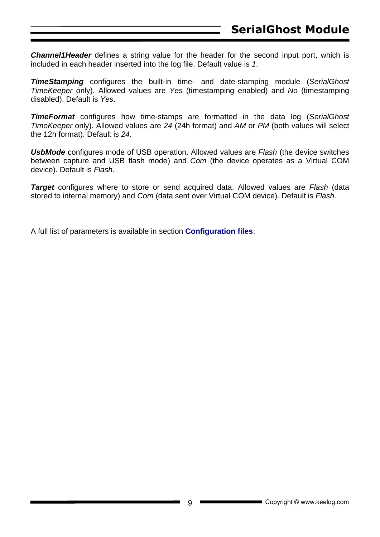**Channel1Header** defines a string value for the header for the second input port, which is included in each header inserted into the log file. Default value is *1*.

*TimeStamping* configures the built-in time- and date-stamping module (*SerialGhost TimeKeeper* only). Allowed values are *Yes* (timestamping enabled) and *No* (timestamping disabled). Default is *Yes*.

*TimeFormat* configures how time-stamps are formatted in the data log (*SerialGhost TimeKeeper* only). Allowed values are *24* (24h format) and *AM* or *PM* (both values will select the 12h format). Default is *24*.

*UsbMode* configures mode of USB operation. Allowed values are *Flash* (the device switches between capture and USB flash mode) and *Com* (the device operates as a Virtual COM device). Default is *Flash*.

*Target* configures where to store or send acquired data. Allowed values are *Flash* (data stored to internal memory) and *Com* (data sent over Virtual COM device). Default is *Flash*.

A full list of parameters is available in section **Configuration files**.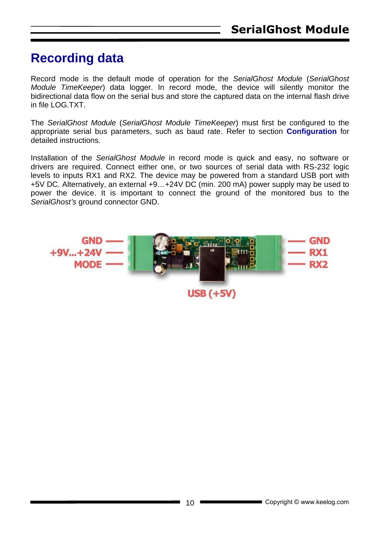### <span id="page-9-0"></span>**Recording data**

Record mode is the default mode of operation for the *SerialGhost Module* (*SerialGhost Module TimeKeeper*) data logger. In record mode, the device will silently monitor the bidirectional data flow on the serial bus and store the captured data on the internal flash drive in file LOG.TXT.

The *SerialGhost Module* (*SerialGhost Module TimeKeeper*) must first be configured to the appropriate serial bus parameters, such as baud rate. Refer to section **Configuration** for detailed instructions.

Installation of the *SerialGhost Module* in record mode is quick and easy, no software or drivers are required. Connect either one, or two sources of serial data with RS-232 logic levels to inputs RX1 and RX2. The device may be powered from a standard USB port with +5V DC. Alternatively, an external +9…+24V DC (min. 200 mA) power supply may be used to power the device. It is important to connect the ground of the monitored bus to the *SerialGhost's* ground connector GND.

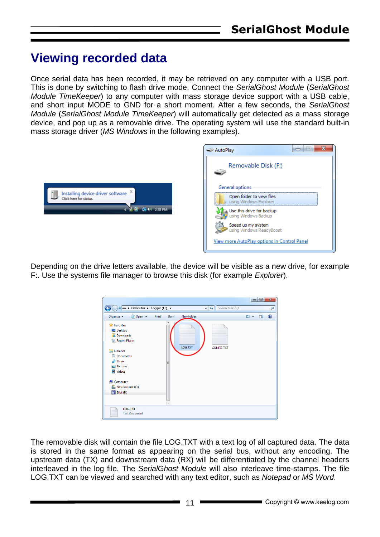### <span id="page-10-0"></span>**Viewing recorded data**

Once serial data has been recorded, it may be retrieved on any computer with a USB port. This is done by switching to flash drive mode. Connect the *SerialGhost Module* (*SerialGhost Module TimeKeeper*) to any computer with mass storage device support with a USB cable, and short input MODE to GND for a short moment. After a few seconds, the *SerialGhost Module* (*SerialGhost Module TimeKeeper*) will automatically get detected as a mass storage device, and pop up as a removable drive. The operating system will use the standard built-in mass storage driver (*MS Windows* in the following examples).



Depending on the drive letters available, the device will be visible as a new drive, for example F:. Use the systems file manager to browse this disk (for example *Explorer*).



The removable disk will contain the file LOG.TXT with a text log of all captured data. The data is stored in the same format as appearing on the serial bus, without any encoding. The upstream data (TX) and downstream data (RX) will be differentiated by the channel headers interleaved in the log file. The *SerialGhost Module* will also interleave time-stamps. The file LOG.TXT can be viewed and searched with any text editor, such as *Notepad* or *MS Word*.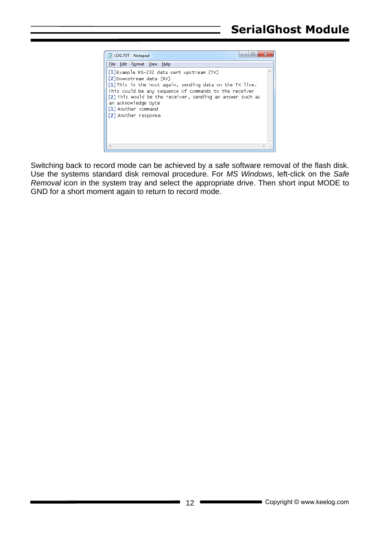| $\blacksquare$<br>LOG.TXT - Notepad                                                                                                                                                                                                                                                                                               |   |
|-----------------------------------------------------------------------------------------------------------------------------------------------------------------------------------------------------------------------------------------------------------------------------------------------------------------------------------|---|
| File Edit Format View Help                                                                                                                                                                                                                                                                                                        |   |
| $[1]$ Example RS-232 data sent upstream (TX)<br>[2] Downstream data (RX)<br>[1] This is the host again, sending data on the TX line.<br>This could be any sequence of commands to the receiver<br>[2] This would be the receiver, sending an answer such as<br>an acknowledge byte<br>[1] Another command<br>[2] Another response | 业 |
|                                                                                                                                                                                                                                                                                                                                   |   |

Switching back to record mode can be achieved by a safe software removal of the flash disk. Use the systems standard disk removal procedure. For *MS Windows*, left-click on the *Safe Removal* icon in the system tray and select the appropriate drive. Then short input MODE to GND for a short moment again to return to record mode.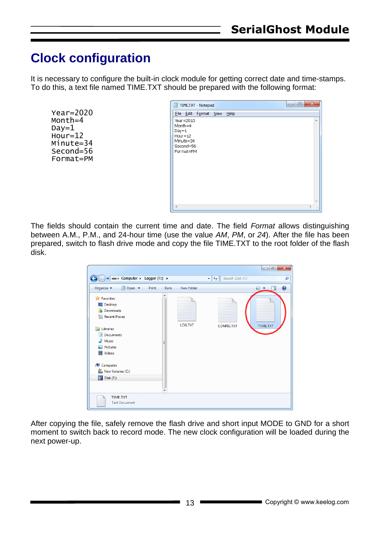### <span id="page-12-0"></span>**Clock configuration**

It is necessary to configure the built-in clock module for getting correct date and time-stamps. To do this, a text file named TIME.TXT should be prepared with the following format:

```
Year=2020
Month=4
Day=1Hour=12
Minute=34
Second=56
Format=PM
```


The fields should contain the current time and date. The field *Format* allows distinguishing between A.M., P.M., and 24-hour time (use the value *AM*, *PM*, or *24*). After the file has been prepared, switch to flash drive mode and copy the file TIME.TXT to the root folder of the flash disk.

| $\blacktriangleright$ Computer $\blacktriangleright$ Logger (F:) $\blacktriangleright$                                                                                                     |               |            | Search Disk (F:)<br>$\ddotmark$<br>$\blacktriangledown$ | $\mathbf{x}$<br>$\Box$<br>U<br>م |
|--------------------------------------------------------------------------------------------------------------------------------------------------------------------------------------------|---------------|------------|---------------------------------------------------------|----------------------------------|
| Organize $\blacktriangledown$<br>$\Box$ Open $\blacktriangledown$                                                                                                                          | Print<br>Burn | New folder |                                                         | $\mathbf Q$<br>$\blacksquare$    |
| <b>X</b> Favorites<br>Desktop<br><b>L</b> Downloads<br><b>Recent Places</b><br>Libraries<br>Documents<br>Music<br>Pictures<br>Videos<br>Computer<br>嚜<br>New Volume (C:)<br>Disk (F:)<br>岸 | ▴<br>Ξ        | LOG.TXT    | CONFIG.TXT                                              | TIME.TXT                         |
| TIME.TXT<br><b>Text Document</b>                                                                                                                                                           |               |            |                                                         |                                  |

After copying the file, safely remove the flash drive and short input MODE to GND for a short moment to switch back to record mode. The new clock configuration will be loaded during the next power-up.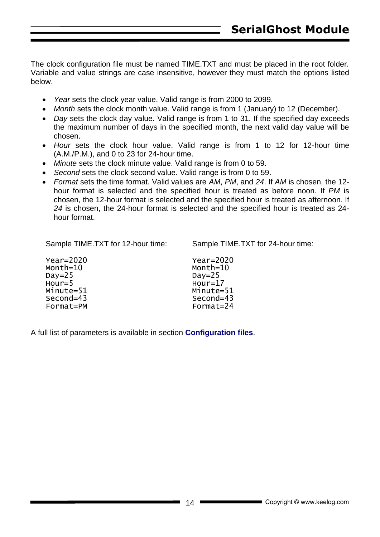The clock configuration file must be named TIME.TXT and must be placed in the root folder. Variable and value strings are case insensitive, however they must match the options listed below.

- *Year* sets the clock year value. Valid range is from 2000 to 2099.
- *Month* sets the clock month value. Valid range is from 1 (January) to 12 (December).
- *Day* sets the clock day value. Valid range is from 1 to 31. If the specified day exceeds the maximum number of days in the specified month, the next valid day value will be chosen.
- *Hour* sets the clock hour value. Valid range is from 1 to 12 for 12-hour time (A.M./P.M.), and 0 to 23 for 24-hour time.
- *Minute* sets the clock minute value. Valid range is from 0 to 59.
- *Second* sets the clock second value. Valid range is from 0 to 59.
- *Format* sets the time format. Valid values are *AM*, *PM*, and *24*. If *AM* is chosen, the 12 hour format is selected and the specified hour is treated as before noon. If *PM* is chosen, the 12-hour format is selected and the specified hour is treated as afternoon. If *24* is chosen, the 24-hour format is selected and the specified hour is treated as 24 hour format.

Sample TIME.TXT for 12-hour time:

Sample TIME.TXT for 24-hour time:

| $Year=2020$ | $Year=2020$ |
|-------------|-------------|
| Month=10    | Month=10    |
| Day= $25$   | Day= $25$   |
| $Hour = 5$  | $Hour=17$   |
| Minute=51   | Minute=51   |
| $Second=43$ | Second=43   |
| Format=PM   | Format=24   |
|             |             |

A full list of parameters is available in section **Configuration files**.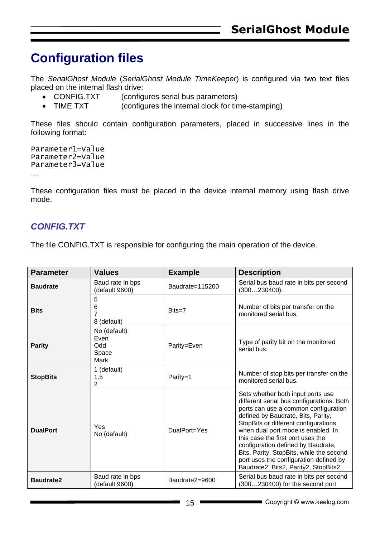### <span id="page-14-0"></span>**Configuration files**

The *SerialGhost Module* (*SerialGhost Module TimeKeeper*) is configured via two text files placed on the internal flash drive:

- CONFIG.TXT (configures serial bus parameters)
- TIME.TXT (configures the internal clock for time-stamping)

These files should contain configuration parameters, placed in successive lines in the following format:

```
Parameter1=Value
Parameter2=Value
Parameter3=Value
…
```
These configuration files must be placed in the device internal memory using flash drive mode.

#### <span id="page-14-1"></span>*CONFIG.TXT*

The file CONFIG.TXT is responsible for configuring the main operation of the device.

| <b>Parameter</b> | <b>Values</b>                                | <b>Example</b>  | <b>Description</b>                                                                                                                                                                                                                                                                                                                                                                                                                                   |
|------------------|----------------------------------------------|-----------------|------------------------------------------------------------------------------------------------------------------------------------------------------------------------------------------------------------------------------------------------------------------------------------------------------------------------------------------------------------------------------------------------------------------------------------------------------|
| <b>Baudrate</b>  | Baud rate in bps<br>default 9600)            | Baudrate=115200 | Serial bus baud rate in bits per second<br>(300230400).                                                                                                                                                                                                                                                                                                                                                                                              |
| <b>Bits</b>      | 5<br>6<br>7<br>8 (default)                   | $Bits = 7$      | Number of bits per transfer on the<br>monitored serial bus.                                                                                                                                                                                                                                                                                                                                                                                          |
| <b>Parity</b>    | No (default)<br>Even<br>Odd<br>Space<br>Mark | Parity=Even     | Type of parity bit on the monitored<br>serial bus.                                                                                                                                                                                                                                                                                                                                                                                                   |
| <b>StopBits</b>  | 1 (default)<br>1.5<br>$\overline{2}$         | Parity=1        | Number of stop bits per transfer on the<br>monitored serial bus.                                                                                                                                                                                                                                                                                                                                                                                     |
| <b>DualPort</b>  | Yes<br>No (default)                          | DualPort=Yes    | Sets whether both input ports use<br>different serial bus configurations. Both<br>ports can use a common configuration<br>defined by Baudrate, Bits, Parity,<br>StopBits or different configurations<br>when dual port mode is enabled. In<br>this case the first port uses the<br>configuration defined by Baudrate,<br>Bits, Parity, StopBits, while the second<br>port uses the configuration defined by<br>Baudrate2, Bits2, Parity2, StopBits2. |
| <b>Baudrate2</b> | Baud rate in bps<br>(default 9600)           | Baudrate2=9600  | Serial bus baud rate in bits per second<br>(300230400) for the second port                                                                                                                                                                                                                                                                                                                                                                           |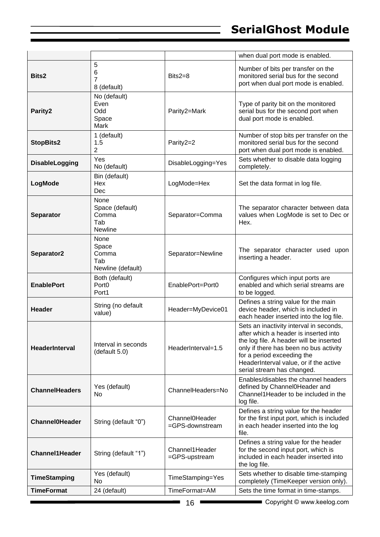|                       |                                                    |                                   | when dual port mode is enabled.                                                                                                                                                                                                                                             |
|-----------------------|----------------------------------------------------|-----------------------------------|-----------------------------------------------------------------------------------------------------------------------------------------------------------------------------------------------------------------------------------------------------------------------------|
| Bits2                 | 5<br>6<br>7<br>8 (default)                         | Bits2=8                           | Number of bits per transfer on the<br>monitored serial bus for the second<br>port when dual port mode is enabled.                                                                                                                                                           |
| Parity2               | No (default)<br>Even<br>Odd<br>Space<br>Mark       | Parity2=Mark                      | Type of parity bit on the monitored<br>serial bus for the second port when<br>dual port mode is enabled.                                                                                                                                                                    |
| <b>StopBits2</b>      | 1 (default)<br>1.5<br>2                            | Parity2=2                         | Number of stop bits per transfer on the<br>monitored serial bus for the second<br>port when dual port mode is enabled.                                                                                                                                                      |
| DisableLogging        | Yes<br>No (default)                                | DisableLogging=Yes                | Sets whether to disable data logging<br>completely.                                                                                                                                                                                                                         |
| LogMode               | Bin (default)<br>Hex<br>Dec                        | LogMode=Hex                       | Set the data format in log file.                                                                                                                                                                                                                                            |
| <b>Separator</b>      | None<br>Space (default)<br>Comma<br>Tab<br>Newline | Separator=Comma                   | The separator character between data<br>values when LogMode is set to Dec or<br>Hex.                                                                                                                                                                                        |
| Separator2            | None<br>Space<br>Comma<br>Tab<br>Newline (default) | Separator=Newline                 | The separator character used upon<br>inserting a header.                                                                                                                                                                                                                    |
| <b>EnablePort</b>     | Both (default)<br>Port <sub>0</sub><br>Port1       | EnablePort=Port0                  | Configures which input ports are<br>enabled and which serial streams are<br>to be logged.                                                                                                                                                                                   |
| Header                | String (no default<br>value)                       | Header=MyDevice01                 | Defines a string value for the main<br>device header, which is included in<br>each header inserted into the log file.                                                                                                                                                       |
| <b>HeaderInterval</b> | Interval in seconds<br>(default 5.0)               | HeaderInterval=1.5                | Sets an inactivity interval in seconds,<br>after which a header is inserted into<br>the log file. A header will be inserted<br>only if there has been no bus activity<br>for a period exceeding the<br>HeaderInterval value, or if the active<br>serial stream has changed. |
| <b>ChannelHeaders</b> |                                                    |                                   |                                                                                                                                                                                                                                                                             |
|                       | Yes (default)<br>No                                | ChannelHeaders=No                 | Enables/disables the channel headers<br>defined by Channel0Header and<br>Channel1Header to be included in the<br>log file.                                                                                                                                                  |
| <b>Channel0Header</b> | String (default "0")                               | Channel0Header<br>=GPS-downstream | Defines a string value for the header<br>for the first input port, which is included<br>in each header inserted into the log<br>file.                                                                                                                                       |
| <b>Channel1Header</b> | String (default "1")                               | Channel1Header<br>=GPS-upstream   | Defines a string value for the header<br>for the second input port, which is<br>included in each header inserted into<br>the log file.                                                                                                                                      |
| <b>TimeStamping</b>   | Yes (default)<br>No                                | TimeStamping=Yes                  | Sets whether to disable time-stamping<br>completely (TimeKeeper version only).                                                                                                                                                                                              |

 $\mathbb{R}^2$ 

Ë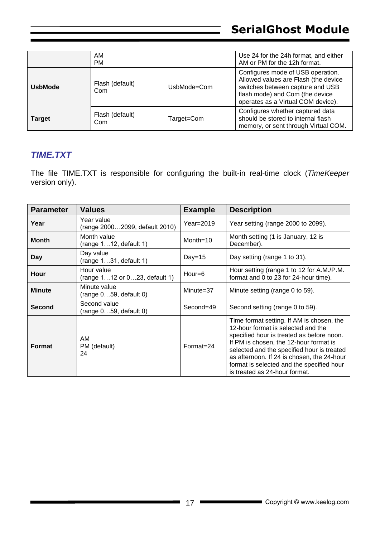|                | AM<br><b>PM</b>        |              | Use 24 for the 24h format, and either<br>AM or PM for the 12h format.                                                                                                                  |
|----------------|------------------------|--------------|----------------------------------------------------------------------------------------------------------------------------------------------------------------------------------------|
| <b>UsbMode</b> | Flash (default)<br>Com | lJsbMode=Com | Configures mode of USB operation.<br>Allowed values are Flash (the device<br>switches between capture and USB<br>flash mode) and Com (the device<br>operates as a Virtual COM device). |
| <b>Target</b>  | Flash (default)<br>Com | Target=Com   | Configures whether captured data<br>should be stored to internal flash<br>memory, or sent through Virtual COM.                                                                         |

#### <span id="page-16-0"></span>*TIME.TXT*

The file TIME.TXT is responsible for configuring the built-in real-time clock (*TimeKeeper* version only).

| <b>Parameter</b> | <b>Values</b>                                | <b>Example</b> | <b>Description</b>                                                                                                                                                                                                                                                                                                                               |
|------------------|----------------------------------------------|----------------|--------------------------------------------------------------------------------------------------------------------------------------------------------------------------------------------------------------------------------------------------------------------------------------------------------------------------------------------------|
| Year             | Year value<br>(range 20002099, default 2010) | $Year = 2019$  | Year setting (range 2000 to 2099).                                                                                                                                                                                                                                                                                                               |
| <b>Month</b>     | Month value<br>(range 112, default 1)        | Month= $10$    | Month setting (1 is January, 12 is<br>December).                                                                                                                                                                                                                                                                                                 |
| Day              | Day value<br>(range 131, default 1)          | Day= $15$      | Day setting (range 1 to 31).                                                                                                                                                                                                                                                                                                                     |
| Hour             | Hour value<br>(range 112 or 023, default 1)  | $Hour = 6$     | Hour setting (range 1 to 12 for A.M./P.M.<br>format and 0 to 23 for 24-hour time).                                                                                                                                                                                                                                                               |
| <b>Minute</b>    | Minute value<br>(range 059, default 0)       | Minute=37      | Minute setting (range 0 to 59).                                                                                                                                                                                                                                                                                                                  |
| <b>Second</b>    | Second value<br>(range 059, default 0)       | Second=49      | Second setting (range 0 to 59).                                                                                                                                                                                                                                                                                                                  |
| <b>Format</b>    | AM<br>PM (default)<br>24                     | $Format = 24$  | Time format setting. If AM is chosen, the<br>12-hour format is selected and the<br>specified hour is treated as before noon.<br>If PM is chosen, the 12-hour format is<br>selected and the specified hour is treated<br>as afternoon. If 24 is chosen, the 24-hour<br>format is selected and the specified hour<br>is treated as 24-hour format. |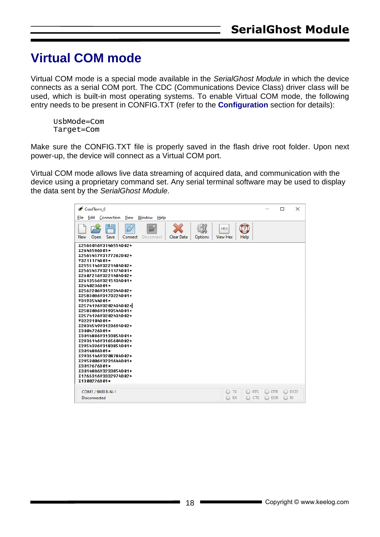### <span id="page-17-0"></span>**Virtual COM mode**

Virtual COM mode is a special mode available in the *SerialGhost Module* in which the device connects as a serial COM port. The CDC (Communications Device Class) driver class will be used, which is built-in most operating systems. To enable Virtual COM mode, the following entry needs to be present in CONFIG.TXT (refer to the **Configuration** section for details):

UsbMode=Com Target=Com

Make sure the CONFIG.TXT file is properly saved in the flash drive root folder. Upon next power-up, the device will connect as a Virtual COM port.

Virtual COM mode allows live data streaming of acquired data, and communication with the device using a proprietary command set. Any serial terminal software may be used to display the data sent by the *SerialGhost Module*.

| CoolTerm_0<br>View<br>Window<br><b>Edit</b> Connection<br>File<br>He                                                                                                                                                                                                                                                                                                                                                                                                                                                                                                                                                 |                               | $\times$<br>□          |  |
|----------------------------------------------------------------------------------------------------------------------------------------------------------------------------------------------------------------------------------------------------------------------------------------------------------------------------------------------------------------------------------------------------------------------------------------------------------------------------------------------------------------------------------------------------------------------------------------------------------------------|-------------------------------|------------------------|--|
| 山<br>Ø<br>70 I<br><b>HEX</b><br>Save<br>Clear Data<br>Options<br><b>View Hex</b><br>Help<br>New<br>Open<br>Connect<br>Disconnect                                                                                                                                                                                                                                                                                                                                                                                                                                                                                     |                               |                        |  |
| X2566016Y3146554D02*<br>X2646586D01*<br>X2565457Y3177262D02*<br>Y3211174D01*<br>X2555146Y3221484D02*<br>X2565457Y3211174D01*<br>X2607216Y3221484D02*<br>X2613566Y3215134D01*<br>X2640236D01*<br>X2562206Y3152344D02*<br>X2583086Y3173224D01*<br>Y3193544D01*<br>X2574196Y3202434D02*<br>X2583086Y3193544D01*<br>X2574196Y3202434D02*<br>Y3229104D01*<br>X2834549Y3123694D02*<br>X3004726D01*<br>X3014886Y3133854D01*<br>X2936146Y3165604D02*<br>X2954396Y3183854D01*<br>X3014886D01*<br>X2936146Y3208784D02*<br>X2959006Y3231644D01*<br>X3012676D01*<br>X3014886Y3233854D01*<br>X1266316Y3332974D02*<br>X1300226D01* |                               |                        |  |
| O RTS<br>COM1 / 9600 8-N-1<br>$\bigcirc$ TX<br>$\bigcirc$ RX<br><b>Disconnected</b><br><b>CTS</b>                                                                                                                                                                                                                                                                                                                                                                                                                                                                                                                    | O DTR<br><b>DSR</b><br>$\cup$ | $\bigcirc$ DCD<br>○ RI |  |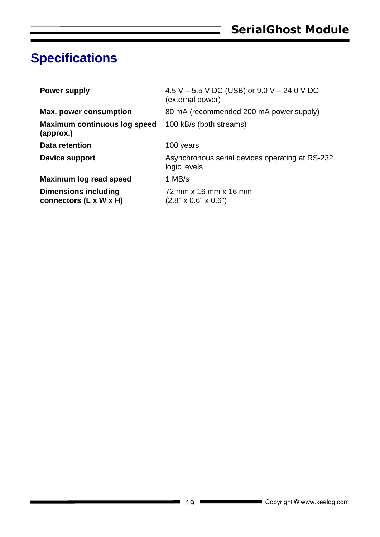### <span id="page-18-0"></span>**Specifications**

| <b>Power supply</b>                                   | 4.5 V – 5.5 V DC (USB) or 9.0 V – 24.0 V DC<br>(external power) |
|-------------------------------------------------------|-----------------------------------------------------------------|
| <b>Max. power consumption</b>                         | 80 mA (recommended 200 mA power supply)                         |
| Maximum continuous log speed<br>(approx.)             | 100 kB/s (both streams)                                         |
| <b>Data retention</b>                                 | 100 years                                                       |
| Device support                                        | Asynchronous serial devices operating at RS-232<br>logic levels |
| Maximum log read speed                                | 1 MB/s                                                          |
| <b>Dimensions including</b><br>connectors (L x W x H) | 72 mm x 16 mm x 16 mm<br>$(2.8" \times 0.6" \times 0.6")$       |

۰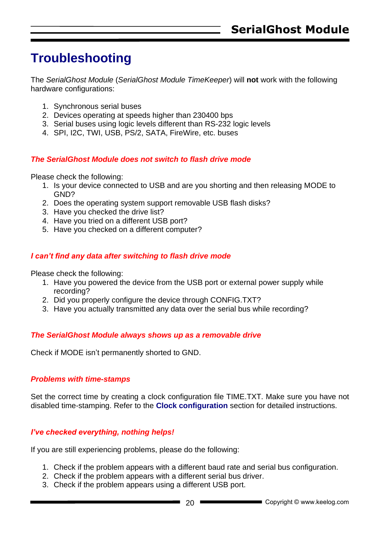### <span id="page-19-0"></span>**Troubleshooting**

The *SerialGhost Module* (*SerialGhost Module TimeKeeper*) will **not** work with the following hardware configurations:

- 1. Synchronous serial buses
- 2. Devices operating at speeds higher than 230400 bps
- 3. Serial buses using logic levels different than RS-232 logic levels
- 4. SPI, I2C, TWI, USB, PS/2, SATA, FireWire, etc. buses

#### *The SerialGhost Module does not switch to flash drive mode*

Please check the following:

- 1. Is your device connected to USB and are you shorting and then releasing MODE to GND?
- 2. Does the operating system support removable USB flash disks?
- 3. Have you checked the drive list?
- 4. Have you tried on a different USB port?
- 5. Have you checked on a different computer?

#### *I can't find any data after switching to flash drive mode*

Please check the following:

- 1. Have you powered the device from the USB port or external power supply while recording?
- 2. Did you properly configure the device through CONFIG.TXT?
- 3. Have you actually transmitted any data over the serial bus while recording?

#### *The SerialGhost Module always shows up as a removable drive*

Check if MODE isn't permanently shorted to GND.

#### *Problems with time-stamps*

Set the correct time by creating a clock configuration file TIME.TXT. Make sure you have not disabled time-stamping. Refer to the **Clock configuration** section for detailed instructions.

#### *I've checked everything, nothing helps!*

If you are still experiencing problems, please do the following:

- 1. Check if the problem appears with a different baud rate and serial bus configuration.
- 2. Check if the problem appears with a different serial bus driver.
- 3. Check if the problem appears using a different USB port.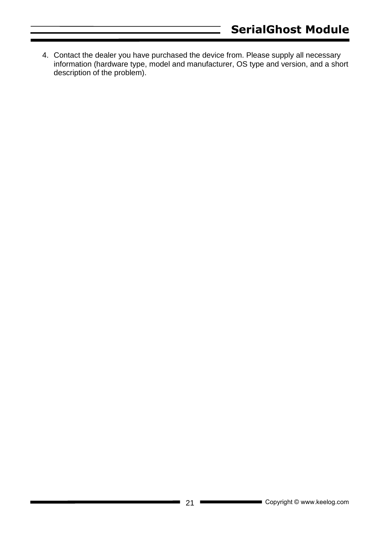4. Contact the dealer you have purchased the device from. Please supply all necessary information (hardware type, model and manufacturer, OS type and version, and a short description of the problem).